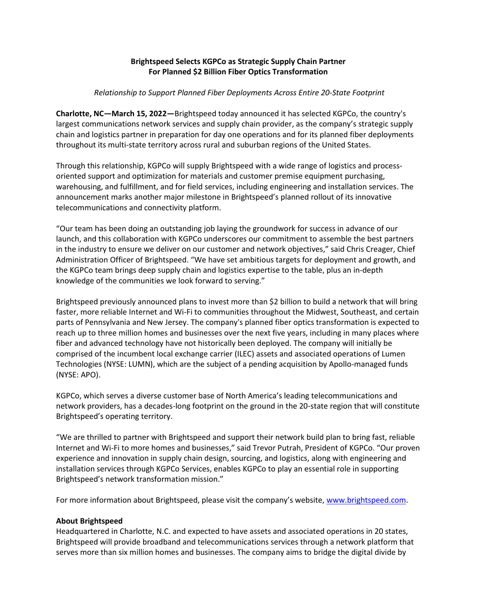# **Brightspeed Selects KGPCo as Strategic Supply Chain Partner For Planned \$2 Billion Fiber Optics Transformation**

### *Relationship to Support Planned Fiber Deployments Across Entire 20-State Footprint*

**Charlotte, NC—March 15, 2022—**Brightspeed today announced it has selected KGPCo, the country's largest communications network services and supply chain provider, as the company's strategic supply chain and logistics partner in preparation for day one operations and for its planned fiber deployments throughout its multi-state territory across rural and suburban regions of the United States.

Through this relationship, KGPCo will supply Brightspeed with a wide range of logistics and processoriented support and optimization for materials and customer premise equipment purchasing, warehousing, and fulfillment, and for field services, including engineering and installation services. The announcement marks another major milestone in Brightspeed's planned rollout of its innovative telecommunications and connectivity platform.

"Our team has been doing an outstanding job laying the groundwork for success in advance of our launch, and this collaboration with KGPCo underscores our commitment to assemble the best partners in the industry to ensure we deliver on our customer and network objectives," said Chris Creager, Chief Administration Officer of Brightspeed. "We have set ambitious targets for deployment and growth, and the KGPCo team brings deep supply chain and logistics expertise to the table, plus an in-depth knowledge of the communities we look forward to serving."

Brightspeed previously announced plans to invest more than \$2 billion to build a network that will bring faster, more reliable Internet and Wi-Fi to communities throughout the Midwest, Southeast, and certain parts of Pennsylvania and New Jersey. The company's planned fiber optics transformation is expected to reach up to three million homes and businesses over the next five years, including in many places where fiber and advanced technology have not historically been deployed. The company will initially be comprised of the incumbent local exchange carrier (ILEC) assets and associated operations of Lumen Technologies (NYSE: LUMN), which are the subject of a pending acquisition by Apollo-managed funds (NYSE: APO).

KGPCo, which serves a diverse customer base of North America's leading telecommunications and network providers, has a decades-long footprint on the ground in the 20-state region that will constitute Brightspeed's operating territory.

"We are thrilled to partner with Brightspeed and support their network build plan to bring fast, reliable Internet and Wi-Fi to more homes and businesses," said Trevor Putrah, President of KGPCo. "Our proven experience and innovation in supply chain design, sourcing, and logistics, along with engineering and installation services through KGPCo Services, enables KGPCo to play an essential role in supporting Brightspeed's network transformation mission."

For more information about Brightspeed, please visit the company's website, [www.brightspeed.com.](http://www.brightspeed.com/)

## **About Brightspeed**

Headquartered in Charlotte, N.C. and expected to have assets and associated operations in 20 states, Brightspeed will provide broadband and telecommunications services through a network platform that serves more than six million homes and businesses. The company aims to bridge the digital divide by